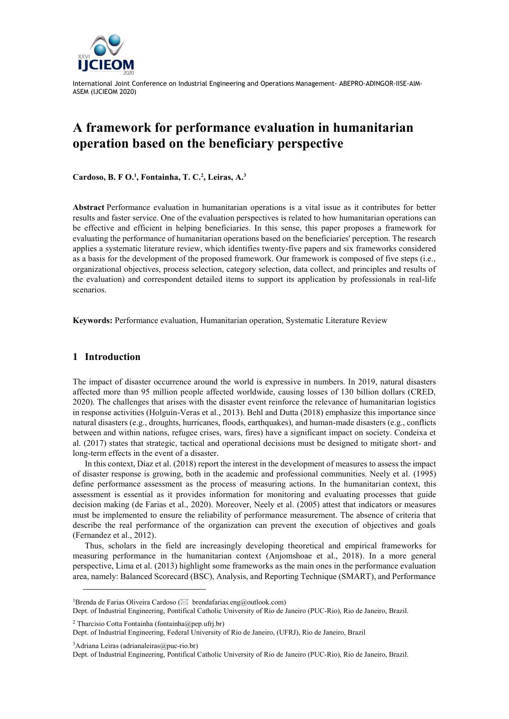

# **A framework for performance evaluation in humanitarian operation based on the beneficiary perspective**

**Cardoso, B. F O. 1 , Fontainha, T. C.<sup>2</sup> , Leiras, A.<sup>3</sup>**

**Abstract** Performance evaluation in humanitarian operations is a vital issue as it contributes for better results and faster service. One of the evaluation perspectives is related to how humanitarian operations can be effective and efficient in helping beneficiaries. In this sense, this paper proposes a framework for evaluating the performance of humanitarian operations based on the beneficiaries' perception. The research applies a systematic literature review, which identifies twenty-five papers and six frameworks considered as a basis for the development of the proposed framework. Our framework is composed of five steps (i.e., organizational objectives, process selection, category selection, data collect, and principles and results of the evaluation) and correspondent detailed items to support its application by professionals in real-life scenarios.

**Keywords:** Performance evaluation, Humanitarian operation, Systematic Literature Review

### **1 Introduction**

The impact of disaster occurrence around the world is expressive in numbers. In 2019, natural disasters affected more than 95 million people affected worldwide, causing losses of 130 billion dollars (CRED, 2020). The challenges that arises with the disaster event reinforce the relevance of humanitarian logistics in response activities (Holguín-Veras et al., 2013). Behl and Dutta (2018) emphasize this importance since natural disasters (e.g., droughts, hurricanes, floods, earthquakes), and human-made disasters (e.g., conflicts between and within nations, refugee crises, wars, fires) have a significant impact on society. Condeixa et al. (2017) states that strategic, tactical and operational decisions must be designed to mitigate short- and long-term effects in the event of a disaster.

In this context, Díaz et al. (2018) report the interest in the development of measures to assess the impact of disaster response is growing, both in the academic and professional communities. Neely et al. (1995) define performance assessment as the process of measuring actions. In the humanitarian context, this assessment is essential as it provides information for monitoring and evaluating processes that guide decision making (de Farias et al., 2020). Moreover, Neely et al. (2005) attest that indicators or measures must be implemented to ensure the reliability of performance measurement. The absence of criteria that describe the real performance of the organization can prevent the execution of objectives and goals (Fernandez et al., 2012).

Thus, scholars in the field are increasingly developing theoretical and empirical frameworks for measuring performance in the humanitarian context (Anjomshoae et al., 2018). In a more general perspective, Lima et al. (2013) highlight some frameworks as the main ones in the performance evaluation area, namely: Balanced Scorecard (BSC), Analysis, and Reporting Technique (SMART), and Performance

 $3$ Adriana Leiras (adrianaleiras $@p$ uc-rio.br)

l

<sup>&</sup>lt;sup>1</sup>Brenda de Farias Oliveira Cardoso ( $\boxtimes$  brendafarias.eng@outlook.com)

Dept. of Industrial Engineering, Pontifical Catholic University of Rio de Janeiro (PUC-Rio), Rio de Janeiro, Brazil.

<sup>&</sup>lt;sup>2</sup> Tharcisio Cotta Fontainha (fontainha@pep.ufri.br)

Dept. of Industrial Engineering, Federal University of Rio de Janeiro, (UFRJ), Rio de Janeiro, Brazil

Dept. of Industrial Engineering, Pontifical Catholic University of Rio de Janeiro (PUC-Rio), Rio de Janeiro, Brazil.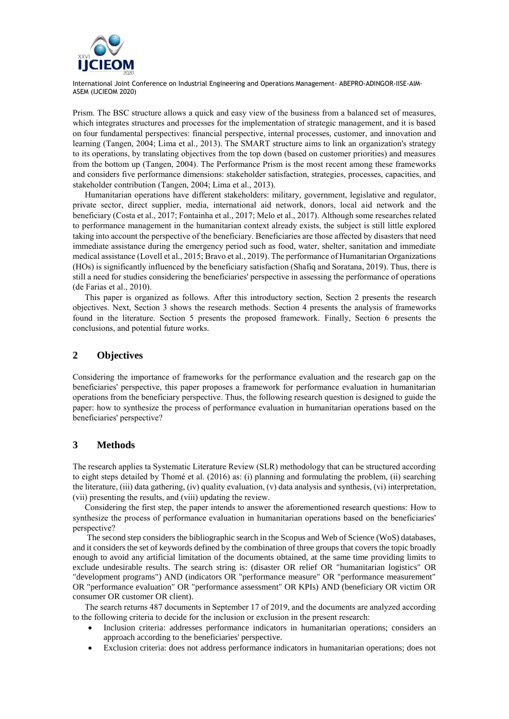

Prism. The BSC structure allows a quick and easy view of the business from a balanced set of measures, which integrates structures and processes for the implementation of strategic management, and it is based on four fundamental perspectives: financial perspective, internal processes, customer, and innovation and learning (Tangen, 2004; Lima et al., 2013). The SMART structure aims to link an organization's strategy to its operations, by translating objectives from the top down (based on customer priorities) and measures from the bottom up (Tangen, 2004). The Performance Prism is the most recent among these frameworks and considers five performance dimensions: stakeholder satisfaction, strategies, processes, capacities, and stakeholder contribution (Tangen, 2004; Lima et al., 2013).

Humanitarian operations have different stakeholders: military, government, legislative and regulator, private sector, direct supplier, media, international aid network, donors, local aid network and the beneficiary (Costa et al., 2017; Fontainha et al., 2017; Melo et al., 2017). Although some researches related to performance management in the humanitarian context already exists, the subject is still little explored taking into account the perspective of the beneficiary. Beneficiaries are those affected by disasters that need immediate assistance during the emergency period such as food, water, shelter, sanitation and immediate medical assistance (Lovell et al., 2015; Bravo et al., 2019). The performance of Humanitarian Organizations (HOs) is significantly influenced by the beneficiary satisfaction (Shafiq and Soratana, 2019). Thus, there is still a need for studies considering the beneficiaries' perspective in assessing the performance of operations (de Farias et al., 2010).

This paper is organized as follows. After this introductory section, Section 2 presents the research objectives. Next, Section 3 shows the research methods. Section 4 presents the analysis of frameworks found in the literature. Section 5 presents the proposed framework. Finally, Section 6 presents the conclusions, and potential future works.

## **2 Objectives**

Considering the importance of frameworks for the performance evaluation and the research gap on the beneficiaries' perspective, this paper proposes a framework for performance evaluation in humanitarian operations from the beneficiary perspective. Thus, the following research question is designed to guide the paper: how to synthesize the process of performance evaluation in humanitarian operations based on the beneficiaries' perspective?

## **3 Methods**

The research applies ta Systematic Literature Review (SLR) methodology that can be structured according to eight steps detailed by Thomé et al. (2016) as: (i) planning and formulating the problem, (ii) searching the literature, (iii) data gathering, (iv) quality evaluation, (v) data analysis and synthesis, (vi) interpretation, (vii) presenting the results, and (viii) updating the review.

Considering the first step, the paper intends to answer the aforementioned research questions: How to synthesize the process of performance evaluation in humanitarian operations based on the beneficiaries' perspective?

The second step considers the bibliographic search in the Scopus and Web of Science (WoS) databases, and it considers the set of keywords defined by the combination of three groups that covers the topic broadly enough to avoid any artificial limitation of the documents obtained, at the same time providing limits to exclude undesirable results. The search string is: (disaster OR relief OR "humanitarian logistics" OR "development programs") AND (indicators OR "performance measure" OR "performance measurement" OR "performance evaluation" OR "performance assessment" OR KPIs) AND (beneficiary OR victim OR consumer OR customer OR client).

The search returns 487 documents in September 17 of 2019, and the documents are analyzed according to the following criteria to decide for the inclusion or exclusion in the present research:

- Inclusion criteria: addresses performance indicators in humanitarian operations; considers an approach according to the beneficiaries' perspective.
- Exclusion criteria: does not address performance indicators in humanitarian operations; does not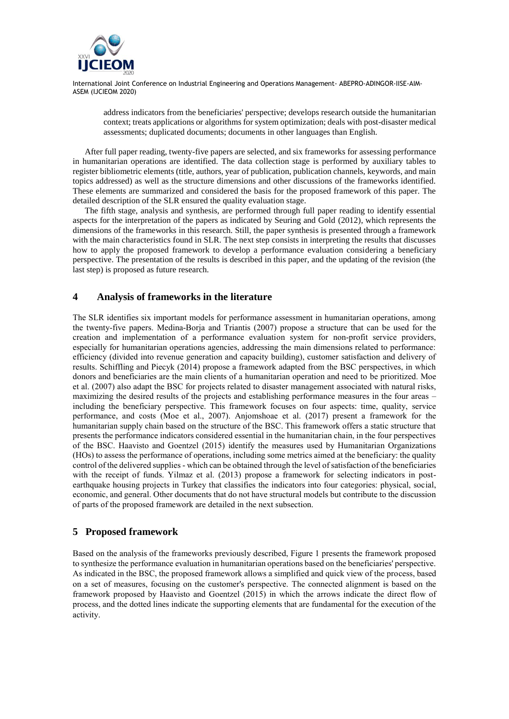

address indicators from the beneficiaries' perspective; develops research outside the humanitarian context; treats applications or algorithms for system optimization; deals with post-disaster medical assessments; duplicated documents; documents in other languages than English.

After full paper reading, twenty-five papers are selected, and six frameworks for assessing performance in humanitarian operations are identified. The data collection stage is performed by auxiliary tables to register bibliometric elements (title, authors, year of publication, publication channels, keywords, and main topics addressed) as well as the structure dimensions and other discussions of the frameworks identified. These elements are summarized and considered the basis for the proposed framework of this paper. The detailed description of the SLR ensured the quality evaluation stage.

The fifth stage, analysis and synthesis, are performed through full paper reading to identify essential aspects for the interpretation of the papers as indicated by Seuring and Gold (2012), which represents the dimensions of the frameworks in this research. Still, the paper synthesis is presented through a framework with the main characteristics found in SLR. The next step consists in interpreting the results that discusses how to apply the proposed framework to develop a performance evaluation considering a beneficiary perspective. The presentation of the results is described in this paper, and the updating of the revision (the last step) is proposed as future research.

## **4 Analysis of frameworks in the literature**

The SLR identifies six important models for performance assessment in humanitarian operations, among the twenty-five papers. Medina-Borja and Triantis (2007) propose a structure that can be used for the creation and implementation of a performance evaluation system for non-profit service providers, especially for humanitarian operations agencies, addressing the main dimensions related to performance: efficiency (divided into revenue generation and capacity building), customer satisfaction and delivery of results. Schiffling and Piecyk (2014) propose a framework adapted from the BSC perspectives, in which donors and beneficiaries are the main clients of a humanitarian operation and need to be prioritized. Moe et al. (2007) also adapt the BSC for projects related to disaster management associated with natural risks, maximizing the desired results of the projects and establishing performance measures in the four areas – including the beneficiary perspective. This framework focuses on four aspects: time, quality, service performance, and costs (Moe et al., 2007). Anjomshoae et al. (2017) present a framework for the humanitarian supply chain based on the structure of the BSC. This framework offers a static structure that presents the performance indicators considered essential in the humanitarian chain, in the four perspectives of the BSC. Haavisto and Goentzel (2015) identify the measures used by Humanitarian Organizations (HOs) to assess the performance of operations, including some metrics aimed at the beneficiary: the quality control of the delivered supplies - which can be obtained through the level of satisfaction of the beneficiaries with the receipt of funds. Yilmaz et al. (2013) propose a framework for selecting indicators in postearthquake housing projects in Turkey that classifies the indicators into four categories: physical, social, economic, and general. Other documents that do not have structural models but contribute to the discussion of parts of the proposed framework are detailed in the next subsection.

## **5 Proposed framework**

Based on the analysis of the frameworks previously described, Figure 1 presents the framework proposed to synthesize the performance evaluation in humanitarian operations based on the beneficiaries' perspective. As indicated in the BSC, the proposed framework allows a simplified and quick view of the process, based on a set of measures, focusing on the customer's perspective. The connected alignment is based on the framework proposed by Haavisto and Goentzel (2015) in which the arrows indicate the direct flow of process, and the dotted lines indicate the supporting elements that are fundamental for the execution of the activity.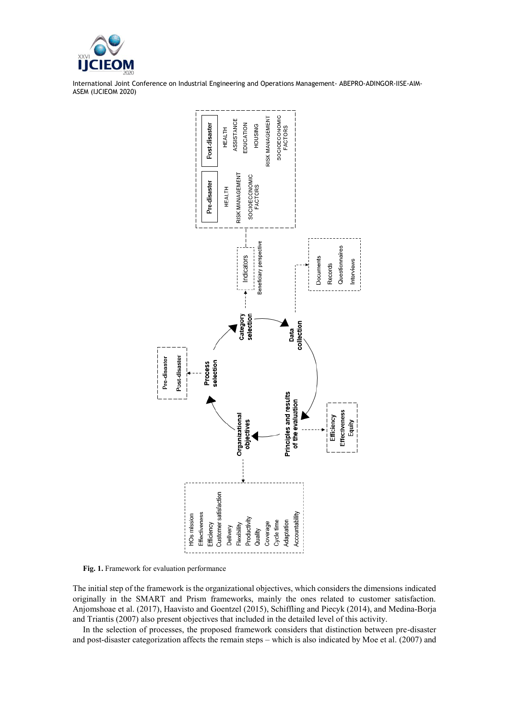



**Fig. 1.** Framework for evaluation performance

The initial step of the framework is the organizational objectives, which considers the dimensions indicated originally in the SMART and Prism frameworks, mainly the ones related to customer satisfaction. Anjomshoae et al. (2017), Haavisto and Goentzel (2015), Schiffling and Piecyk (2014), and Medina-Borja and Triantis (2007) also present objectives that included in the detailed level of this activity.

In the selection of processes, the proposed framework considers that distinction between pre-disaster and post-disaster categorization affects the remain steps – which is also indicated by Moe et al. (2007) and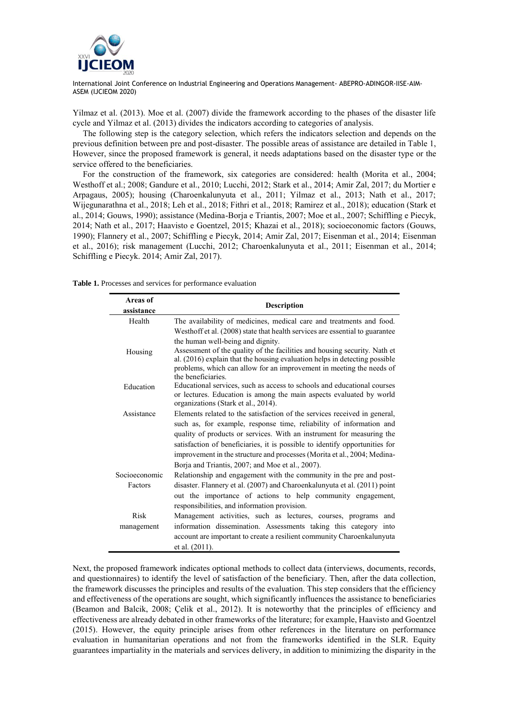

Yilmaz et al. (2013). Moe et al. (2007) divide the framework according to the phases of the disaster life cycle and Yilmaz et al. (2013) divides the indicators according to categories of analysis.

The following step is the category selection, which refers the indicators selection and depends on the previous definition between pre and post-disaster. The possible areas of assistance are detailed in Table 1, However, since the proposed framework is general, it needs adaptations based on the disaster type or the service offered to the beneficiaries.

For the construction of the framework, six categories are considered: health (Morita et al., 2004; Westhoff et al.; 2008; Gandure et al., 2010; Lucchi, 2012; Stark et al., 2014; Amir Zal, 2017; du Mortier e Arpagaus, 2005); housing (Charoenkalunyuta et al., 2011; Yilmaz et al., 2013; Nath et al., 2017; Wijegunarathna et al., 2018; Leh et al., 2018; Fithri et al., 2018; Ramirez et al., 2018); education (Stark et al., 2014; Gouws, 1990); assistance (Medina-Borja e Triantis, 2007; Moe et al., 2007; Schiffling e Piecyk, 2014; Nath et al., 2017; Haavisto e Goentzel, 2015; Khazai et al., 2018); socioeconomic factors (Gouws, 1990); Flannery et al., 2007; Schiffling e Piecyk, 2014; Amir Zal, 2017; Eisenman et al., 2014; Eisenman et al., 2016); risk management (Lucchi, 2012; Charoenkalunyuta et al., 2011; Eisenman et al., 2014; Schiffling e Piecyk. 2014; Amir Zal, 2017).

**Table 1.** Processes and services for performance evaluation

| Areas of      |                                                                                                                                                                                                                                                                                                                                                             |
|---------------|-------------------------------------------------------------------------------------------------------------------------------------------------------------------------------------------------------------------------------------------------------------------------------------------------------------------------------------------------------------|
| assistance    | <b>Description</b>                                                                                                                                                                                                                                                                                                                                          |
| Health        | The availability of medicines, medical care and treatments and food.                                                                                                                                                                                                                                                                                        |
|               | Westhoff et al. (2008) state that health services are essential to guarantee<br>the human well-being and dignity.                                                                                                                                                                                                                                           |
| Housing       | Assessment of the quality of the facilities and housing security. Nath et<br>al. (2016) explain that the housing evaluation helps in detecting possible<br>problems, which can allow for an improvement in meeting the needs of<br>the beneficiaries.                                                                                                       |
| Education     | Educational services, such as access to schools and educational courses<br>or lectures. Education is among the main aspects evaluated by world<br>organizations (Stark et al., 2014).                                                                                                                                                                       |
| Assistance    | Elements related to the satisfaction of the services received in general,                                                                                                                                                                                                                                                                                   |
|               | such as, for example, response time, reliability of information and<br>quality of products or services. With an instrument for measuring the<br>satisfaction of beneficiaries, it is possible to identify opportunities for<br>improvement in the structure and processes (Morita et al., 2004; Medina-<br>Borja and Triantis, 2007; and Moe et al., 2007). |
| Socioeconomic | Relationship and engagement with the community in the pre and post-                                                                                                                                                                                                                                                                                         |
| Factors       | disaster. Flannery et al. (2007) and Charoenkalunyuta et al. (2011) point<br>out the importance of actions to help community engagement,<br>responsibilities, and information provision.                                                                                                                                                                    |
| Risk          | Management activities, such as lectures, courses, programs and                                                                                                                                                                                                                                                                                              |
| management    | information dissemination. Assessments taking this category into<br>account are important to create a resilient community Charoenkalunyuta                                                                                                                                                                                                                  |
|               | et al. (2011).                                                                                                                                                                                                                                                                                                                                              |

Next, the proposed framework indicates optional methods to collect data (interviews, documents, records, and questionnaires) to identify the level of satisfaction of the beneficiary. Then, after the data collection, the framework discusses the principles and results of the evaluation. This step considers that the efficiency and effectiveness of the operations are sought, which significantly influences the assistance to beneficiaries (Beamon and Balcik, 2008; Çelik et al., 2012). It is noteworthy that the principles of efficiency and effectiveness are already debated in other frameworks of the literature; for example, Haavisto and Goentzel (2015). However, the equity principle arises from other references in the literature on performance evaluation in humanitarian operations and not from the frameworks identified in the SLR. Equity guarantees impartiality in the materials and services delivery, in addition to minimizing the disparity in the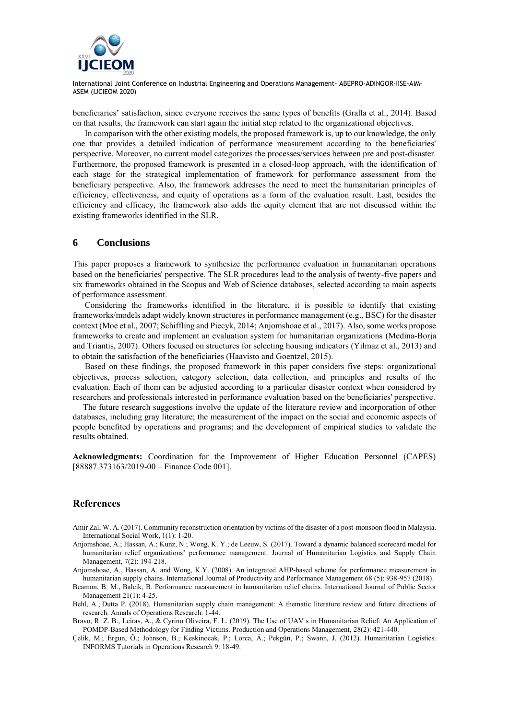

beneficiaries' satisfaction, since everyone receives the same types of benefits (Gralla et al., 2014). Based on that results, the framework can start again the initial step related to the organizational objectives.

In comparison with the other existing models, the proposed framework is, up to our knowledge, the only one that provides a detailed indication of performance measurement according to the beneficiaries' perspective. Moreover, no current model categorizes the processes/services between pre and post-disaster. Furthermore, the proposed framework is presented in a closed-loop approach, with the identification of each stage for the strategical implementation of framework for performance assessment from the beneficiary perspective. Also, the framework addresses the need to meet the humanitarian principles of efficiency, effectiveness, and equity of operations as a form of the evaluation result. Last, besides the efficiency and efficacy, the framework also adds the equity element that are not discussed within the existing frameworks identified in the SLR.

#### **6 Conclusions**

This paper proposes a framework to synthesize the performance evaluation in humanitarian operations based on the beneficiaries' perspective. The SLR procedures lead to the analysis of twenty-five papers and six frameworks obtained in the Scopus and Web of Science databases, selected according to main aspects of performance assessment.

Considering the frameworks identified in the literature, it is possible to identify that existing frameworks/models adapt widely known structures in performance management (e.g., BSC) for the disaster context (Moe et al., 2007; Schiffling and Piecyk, 2014; Anjomshoae et al., 2017). Also, some works propose frameworks to create and implement an evaluation system for humanitarian organizations (Medina-Borja and Triantis, 2007). Others focused on structures for selecting housing indicators (Yilmaz et al., 2013) and to obtain the satisfaction of the beneficiaries (Haavisto and Goentzel, 2015).

Based on these findings, the proposed framework in this paper considers five steps: organizational objectives, process selection, category selection, data collection, and principles and results of the evaluation. Each of them can be adjusted according to a particular disaster context when considered by researchers and professionals interested in performance evaluation based on the beneficiaries' perspective.

The future research suggestions involve the update of the literature review and incorporation of other databases, including gray literature; the measurement of the impact on the social and economic aspects of people benefited by operations and programs; and the development of empirical studies to validate the results obtained.

**Acknowledgments:** Coordination for the Improvement of Higher Education Personnel (CAPES) [88887.373163/2019-00 – Finance Code 001].

## **References**

- Amir Zal, W. A. (2017). Community reconstruction orientation by victims of the disaster of a post-monsoon flood in Malaysia. International Social Work, 1(1): 1-20.
- Anjomshoae, A.; Hassan, A.; Kunz, N.; Wong, K. Y.; de Leeuw, S. (2017). Toward a dynamic balanced scorecard model for humanitarian relief organizations' performance management. Journal of Humanitarian Logistics and Supply Chain Management, 7(2): 194-218.

Anjomshoae, A., Hassan, A. and Wong, K.Y. (2008). An integrated AHP-based scheme for performance measurement in humanitarian supply chains. International Journal of Productivity and Performance Management 68 (5): 938-957 (2018).

- Beamon, B. M., Balcik, B. Performance measurement in humanitarian relief chains. International Journal of Public Sector Management 21(1): 4-25.
- Behl, A.; Dutta P. (2018). Humanitarian supply chain management: A thematic literature review and future directions of research. Annals of Operations Research: 1-44.
- Bravo, R. Z. B., Leiras, A., & Cyrino Oliveira, F. L. (2019). The Use of UAV s in Humanitarian Relief: An Application of POMDP‐Based Methodology for Finding Victims. Production and Operations Management, 28(2): 421-440.
- Çelik, M.; Ergun, Õ.; Johnson, B.; Keskinocak, P.; Lorca, Á.; Pekgün, P.; Swann, J. (2012). Humanitarian Logistics. INFORMS Tutorials in Operations Research 9: 18-49.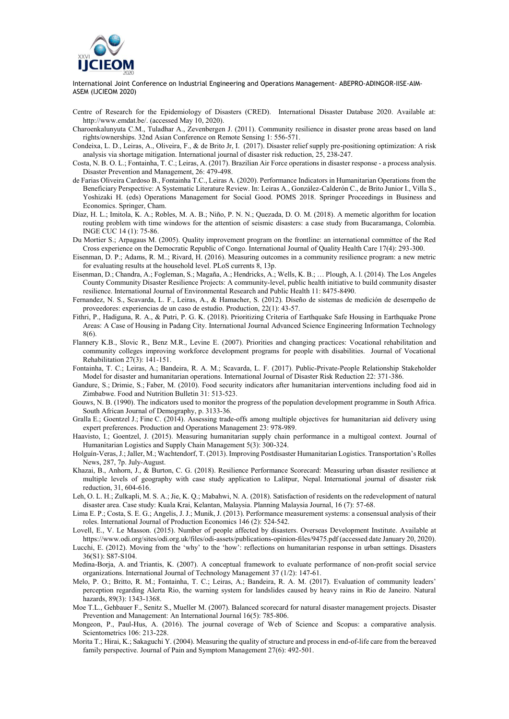

- Centre of Research for the Epidemiology of Disasters (CRED). International Disaster Database 2020. Available at: [http://www.emdat.be/.](http://www.emdat.be/) (accessed May 10, 2020).
- Charoenkalunyuta C.M., Tuladhar A., Zevenbergen J. (2011). Community resilience in disaster prone areas based on land rights/ownerships. 32nd Asian Conference on Remote Sensing 1: 556-571.
- Condeixa, L. D., Leiras, A., Oliveira, F., & de Brito Jr, I. (2017). Disaster relief supply pre-positioning optimization: A risk analysis via shortage mitigation. International journal of disaster risk reduction, 25, 238-247.
- Costa, N. B. O. L.; Fontainha, T. C.; Leiras, A. (2017). Brazilian Air Force operations in disaster response a process analysis. Disaster Prevention and Management, 26: 479-498.
- de Farias Oliveira Cardoso B., Fontainha T.C., Leiras A. (2020). Performance Indicators in Humanitarian Operations from the Beneficiary Perspective: A Systematic Literature Review. In: Leiras A., González-Calderón C., de Brito Junior I., Villa S., Yoshizaki H. (eds) Operations Management for Social Good. POMS 2018. Springer Proceedings in Business and Economics. Springer, Cham.
- Díaz, H. L.; Imitola, K. A.; Robles, M. A. B.; Niño, P. N. N.; Quezada, D. O. M. (2018). A memetic algorithm for location routing problem with time windows for the attention of seismic disasters: a case study from Bucaramanga, Colombia. INGE CUC 14 (1): 75-86.
- Du Mortier S.; Arpagaus M. (2005). Quality improvement program on the frontline: an international committee of the Red Cross experience on the Democratic Republic of Congo. International Journal of Quality Health Care 17(4): 293-300.
- Eisenman, D. P.; Adams, R. M..; Rivard, H. (2016). Measuring outcomes in a community resilience program: a new metric for evaluating results at the household level. PLoS currents 8, 13p.
- Eisenman, D.; Chandra, A.; Fogleman, S.; Magaña, A.; Hendricks, A.; Wells, K. B.; … Plough, A. l. (2014). The Los Angeles County Community Disaster Resilience Projects: A community-level, public health initiative to build community disaster resilience. International Journal of Environmental Research and Public Health 11: 8475-8490.
- Fernandez, N. S., Scavarda, L. F., Leiras, A., & Hamacher, S. (2012). Diseño de sistemas de medición de desempeño de proveedores: experiencias de un caso de estudio. Production, 22(1): 43-57.
- Fithri, P., Hadiguna, R. A., & Putri, P. G. K. (2018). Prioritizing Criteria of Earthquake Safe Housing in Earthquake Prone Areas: A Case of Housing in Padang City. International Journal Advanced Science Engineering Information Technology 8(6).
- Flannery K.B., Slovic R., Benz M.R., Levine E. (2007). Priorities and changing practices: Vocational rehabilitation and community colleges improving workforce development programs for people with disabilities. Journal of Vocational Rehabilitation 27(3): 141-151.
- Fontainha, T. C.; Leiras, A.; Bandeira, R. A. M.; Scavarda, L. F. (2017). Public-Private-People Relationship Stakeholder Model for disaster and humanitarian operations. International Journal of Disaster Risk Reduction 22: 371-386.
- Gandure, S.; Drimie, S.; Faber, M. (2010). Food security indicators after humanitarian interventions including food aid in Zimbabwe. Food and Nutrition Bulletin 31: 513-523.
- Gouws, N. B. (1990). The indicators used to monitor the progress of the population development programme in South Africa. South African Journal of Demography, p. 3133-36.
- Gralla E.; Goentzel J.; Fine C. (2014). Assessing trade-offs among multiple objectives for humanitarian aid delivery using expert preferences. Production and Operations Management 23: 978-989.
- Haavisto, I.; Goentzel, J. (2015). Measuring humanitarian supply chain performance in a multigoal context. Journal of Humanitarian Logistics and Supply Chain Management 5(3): 300-324.
- Holguín-Veras, J.; Jaller, M.; Wachtendorf, T. (2013). Improving Postdisaster Humanitarian Logistics. Transportation's Rolles News, 287, 7p. July-August.
- Khazai, B., Anhorn, J., & Burton, C. G. (2018). Resilience Performance Scorecard: Measuring urban disaster resilience at multiple levels of geography with case study application to Lalitpur, Nepal. International journal of disaster risk reduction, 31, 604-616.
- Leh, O. L. H.; Zulkapli, M. S. A.; Jie, K. Q.; Mabahwi, N. A. (2018). Satisfaction of residents on the redevelopment of natural disaster area. Case study: Kuala Krai, Kelantan, Malaysia. Planning Malaysia Journal, 16 (7): 57-68.
- Lima E. P.; Costa, S. E. G.; Angelis, J. J.; Munik, J. (2013). Performance measurement systems: a consensual analysis of their roles. International Journal of Production Economics 146 (2): 524-542.
- Lovell, E., V. Le Masson. (2015). Number of people affected by disasters. Overseas Development Institute. Available at https://www.odi.org/sites/odi.org.uk/files/odi-assets/publications-opinion-files/9475.pdf (accessed date January 20, 2020).
- Lucchi, E. (2012). Moving from the 'why' to the 'how': reflections on humanitarian response in urban settings. Disasters 36(S1): S87-S104.
- Medina‐Borja, A. and Triantis, K. (2007). A conceptual framework to evaluate performance of non‐profit social service organizations. International Journal of Technology Management 37 (1/2): 147‐61.
- Melo, P. O.; Britto, R. M.; Fontainha, T. C.; Leiras, A.; Bandeira, R. A. M. (2017). Evaluation of community leaders' perception regarding Alerta Rio, the warning system for landslides caused by heavy rains in Rio de Janeiro. Natural hazards, 89(3): 1343-1368.
- Moe T.L., Gehbauer F., Senitz S., Mueller M. (2007). Balanced scorecard for natural disaster management projects. Disaster Prevention and Management: An International Journal 16(5): 785-806.
- Mongeon, P., Paul-Hus, A. (2016). The journal coverage of Web of Science and Scopus: a comparative analysis. Scientometrics 106: 213-228.
- Morita T.; Hirai, K.; Sakaguchi Y. (2004). Measuring the quality of structure and process in end-of-life care from the bereaved family perspective. [Journal of Pain and Symptom Management](https://www.jpsmjournal.com/) 27(6): 492-501.